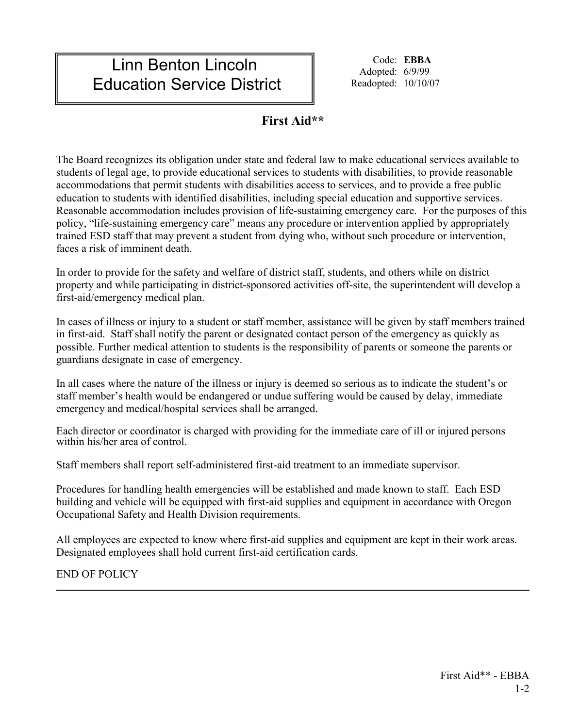## Linn Benton Lincoln Education Service District

Code: **EBBA** Adopted: 6/9/99 Readopted: 10/10/07

## **First Aid\*\***

The Board recognizes its obligation under state and federal law to make educational services available to students of legal age, to provide educational services to students with disabilities, to provide reasonable accommodations that permit students with disabilities access to services, and to provide a free public education to students with identified disabilities, including special education and supportive services. Reasonable accommodation includes provision of life-sustaining emergency care. For the purposes of this policy, "life-sustaining emergency care" means any procedure or intervention applied by appropriately trained ESD staff that may prevent a student from dying who, without such procedure or intervention, faces a risk of imminent death.

In order to provide for the safety and welfare of district staff, students, and others while on district property and while participating in district-sponsored activities off-site, the superintendent will develop a first-aid/emergency medical plan.

In cases of illness or injury to a student or staff member, assistance will be given by staff members trained in first-aid. Staff shall notify the parent or designated contact person of the emergency as quickly as possible. Further medical attention to students is the responsibility of parents or someone the parents or guardians designate in case of emergency.

In all cases where the nature of the illness or injury is deemed so serious as to indicate the student's or staff member's health would be endangered or undue suffering would be caused by delay, immediate emergency and medical/hospital services shall be arranged.

Each director or coordinator is charged with providing for the immediate care of ill or injured persons within his/her area of control.

Staff members shall report self-administered first-aid treatment to an immediate supervisor.

Procedures for handling health emergencies will be established and made known to staff. Each ESD building and vehicle will be equipped with first-aid supplies and equipment in accordance with Oregon Occupational Safety and Health Division requirements.

All employees are expected to know where first-aid supplies and equipment are kept in their work areas. Designated employees shall hold current first-aid certification cards.

END OF POLICY